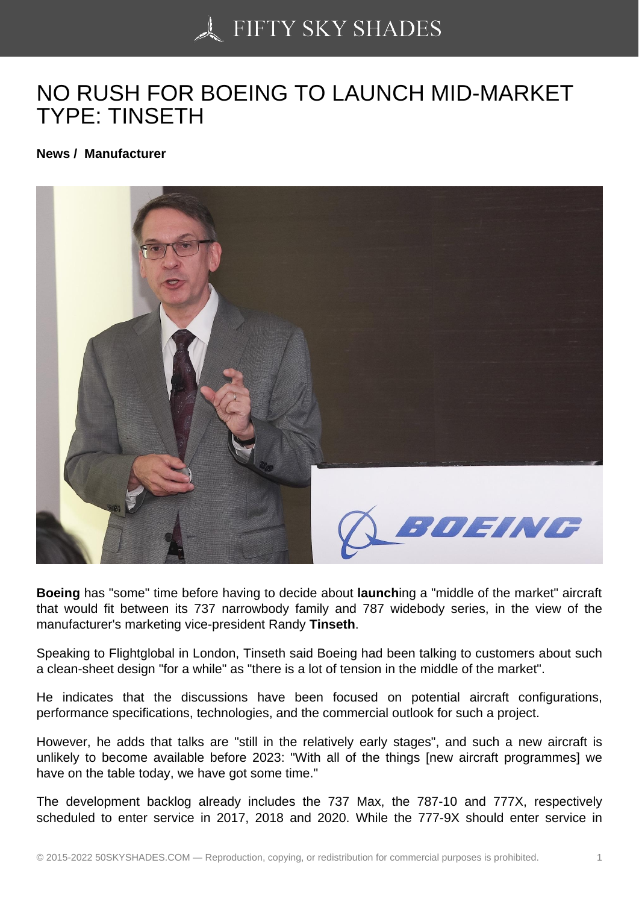## [NO RUSH FOR BOEIN](https://50skyshades.com)G TO LAUNCH MID-MARKET TYPE: TINSETH

News / Manufacturer

Boeing has "some" time before having to decide about launch ing a "middle of the market" aircraft that would fit between its 737 narrowbody family and 787 widebody series, in the view of the manufacturer's marketing vice-president Randy Tinseth .

Speaking to Flightglobal in London, Tinseth said Boeing had been talking to customers about such a clean-sheet design "for a while" as "there is a lot of tension in the middle of the market".

He indicates that the discussions have been focused on potential aircraft configurations, performance specifications, technologies, and the commercial outlook for such a project.

However, he adds that talks are "still in the relatively early stages", and such a new aircraft is unlikely to become available before 2023: "With all of the things [new aircraft programmes] we have on the table today, we have got some time."

The development backlog already includes the 737 Max, the 787-10 and 777X, respectively scheduled to enter service in 2017, 2018 and 2020. While the 777-9X should enter service in